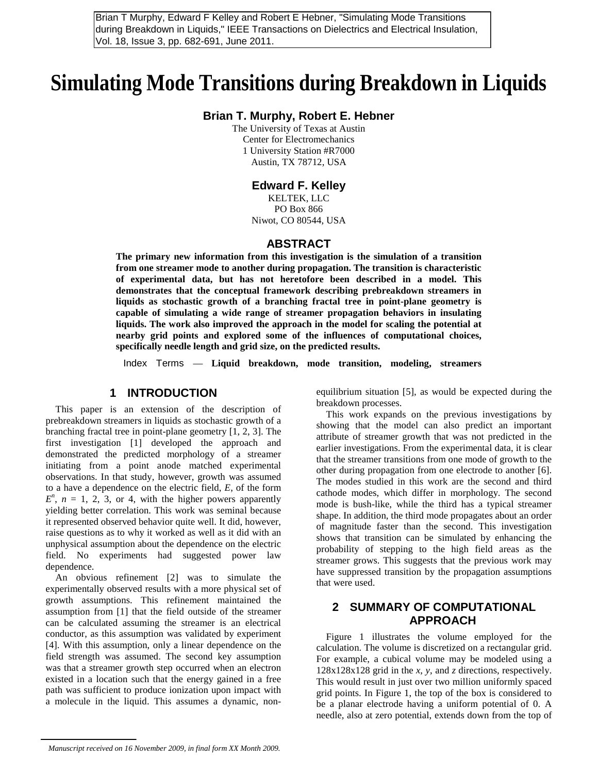during Breakdown in Liquids," IEEE Transactions on Dielectrics and Electrical Insulation, Vol. 18, Issue 3, pp. 682-691, June 2011.

# **Simulating Mode Transitions during Breakdown in Liquids**

#### **Brian T. Murphy, Robert E. Hebner**

The University of Texas at Austin Center for Electromechanics 1 University Station #R7000 Austin, TX 78712, USA

#### **Edward F. Kelley**

KELTEK, LLC PO Box 866 Niwot, CO 80544, USA

#### **ABSTRACT**

**The primary new information from this investigation is the simulation of a transition from one streamer mode to another during propagation. The transition is characteristic of experimental data, but has not heretofore been described in a model. This demonstrates that the conceptual framework describing prebreakdown streamers in liquids as stochastic growth of a branching fractal tree in point-plane geometry is capable of simulating a wide range of streamer propagation behaviors in insulating liquids. The work also improved the approach in the model for scaling the potential at nearby grid points and explored some of the influences of computational choices, specifically needle length and grid size, on the predicted results.** 

Index Terms — **Liquid breakdown, mode transition, modeling, streamers**

### **1 INTRODUCTION**

This paper is an extension of the description of prebreakdown streamers in liquids as stochastic growth of a branching fractal tree in point-plane geometry [1, 2, 3]. The first investigation [1] developed the approach and demonstrated the predicted morphology of a streamer initiating from a point anode matched experimental observations. In that study, however, growth was assumed to a have a dependence on the electric field, *E*, of the form  $E^n$ ,  $n = 1, 2, 3$ , or 4, with the higher powers apparently yielding better correlation. This work was seminal because it represented observed behavior quite well. It did, however, raise questions as to why it worked as well as it did with an unphysical assumption about the dependence on the electric field. No experiments had suggested power law dependence. From The prior Form and Rober and Rober Constructions of The prior Constructions of the same of the same of the same of the same of the same of the same of the same of the same of the same of the same of the same of the s

An obvious refinement [2] was to simulate the experimentally observed results with a more physical set of growth assumptions. This refinement maintained the assumption from [1] that the field outside of the streamer can be calculated assuming the streamer is an electrical conductor, as this assumption was validated by experiment [4]. With this assumption, only a linear dependence on the field strength was assumed. The second key assumption was that a streamer growth step occurred when an electron existed in a location such that the energy gained in a free path was sufficient to produce ionization upon impact with a molecule in the liquid. This assumes a dynamic, nonequilibrium situation [5], as would be expected during the breakdown processes.

This work expands on the previous investigations by showing that the model can also predict an important attribute of streamer growth that was not predicted in the earlier investigations. From the experimental data, it is clear that the streamer transitions from one mode of growth to the other during propagation from one electrode to another [6]. The modes studied in this work are the second and third cathode modes, which differ in morphology. The second mode is bush-like, while the third has a typical streamer shape. In addition, the third mode propagates about an order of magnitude faster than the second. This investigation shows that transition can be simulated by enhancing the probability of stepping to the high field areas as the streamer grows. This suggests that the previous work may have suppressed transition by the propagation assumptions that were used.

# **2 SUMMARY OF COMPUTATIONAL APPROACH**

Figure 1 illustrates the volume employed for the calculation. The volume is discretized on a rectangular grid. For example, a cubical volume may be modeled using a 128x128x128 grid in the *x*, *y*, and *z* directions, respectively. This would result in just over two million uniformly spaced grid points. In Figure 1, the top of the box is considered to be a planar electrode having a uniform potential of 0. A needle, also at zero potential, extends down from the top of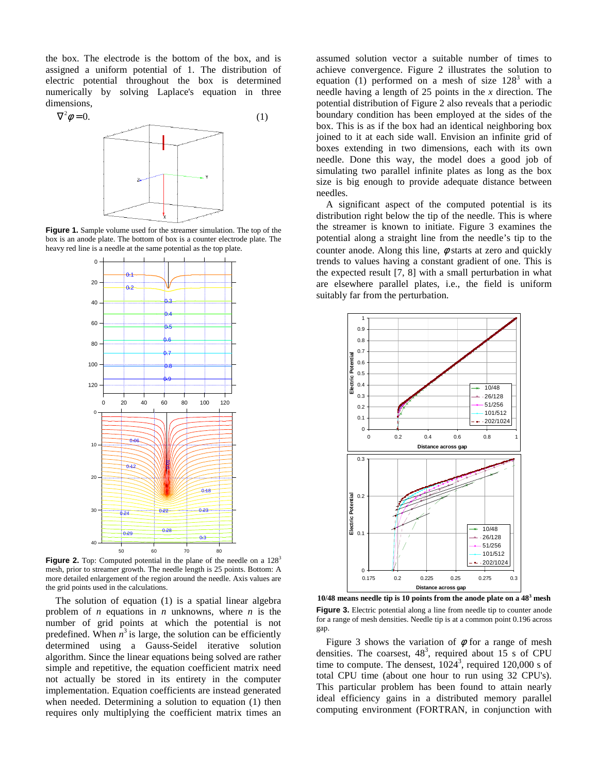the box. The electrode is the bottom of the box, and is assigned a uniform potential of 1. The distribution of electric potential throughout the box is determined numerically by solving Laplace's equation in three dimensions,



**Figure 1.** Sample volume used for the streamer simulation. The top of the box is an anode plate. The bottom of box is a counter electrode plate. The heavy red line is a needle at the same potential as the top plate.



**Figure 2.** Top: Computed potential in the plane of the needle on a 128<sup>3</sup> mesh, prior to streamer growth. The needle length is 25 points. Bottom: A more detailed enlargement of the region around the needle. Axis values are the grid points used in the calculations.

The solution of equation (1) is a spatial linear algebra problem of *n* equations in *n* unknowns, where *n* is the number of grid points at which the potential is not predefined. When  $n^3$  is large, the solution can be efficiently determined using a Gauss-Seidel iterative solution algorithm. Since the linear equations being solved are rather simple and repetitive, the equation coefficient matrix need not actually be stored in its entirety in the computer implementation. Equation coefficients are instead generated when needed. Determining a solution to equation (1) then requires only multiplying the coefficient matrix times an

assumed solution vector a suitable number of times to achieve convergence. Figure 2 illustrates the solution to equation (1) performed on a mesh of size  $128<sup>3</sup>$  with a needle having a length of 25 points in the *x* direction. The potential distribution of Figure 2 also reveals that a periodic boundary condition has been employed at the sides of the box. This is as if the box had an identical neighboring box joined to it at each side wall. Envision an infinite grid of boxes extending in two dimensions, each with its own needle. Done this way, the model does a good job of simulating two parallel infinite plates as long as the box size is big enough to provide adequate distance between needles.

A significant aspect of the computed potential is its distribution right below the tip of the needle. This is where the streamer is known to initiate. Figure 3 examines the potential along a straight line from the needle's tip to the counter anode. Along this line,  $\phi$  starts at zero and quickly trends to values having a constant gradient of one. This is the expected result [7, 8] with a small perturbation in what are elsewhere parallel plates, i.e., the field is uniform suitably far from the perturbation.



**10/48 means needle tip is 10 points from the anode plate on a 48<sup>3</sup> mesh Figure 3.** Electric potential along a line from needle tip to counter anode for a range of mesh densities. Needle tip is at a common point 0.196 across gap.

Figure 3 shows the variation of  $\phi$  for a range of mesh densities. The coarsest,  $48^3$ , required about 15 s of CPU time to compute. The densest,  $1024^3$ , required  $120,000$  s of total CPU time (about one hour to run using 32 CPU's). This particular problem has been found to attain nearly ideal efficiency gains in a distributed memory parallel computing environment (FORTRAN, in conjunction with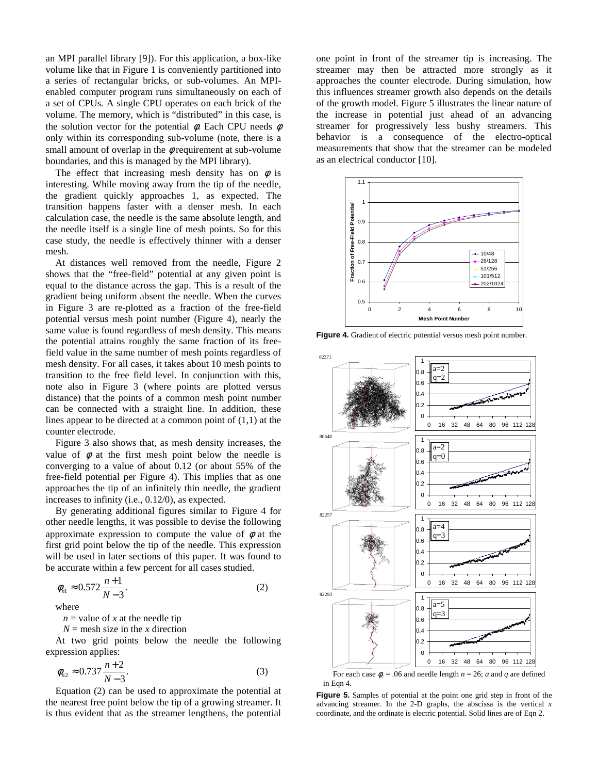an MPI parallel library [9]). For this application, a box-like volume like that in Figure 1 is conveniently partitioned into a series of rectangular bricks, or sub-volumes. An MPIenabled computer program runs simultaneously on each of a set of CPUs. A single CPU operates on each brick of the volume. The memory, which is "distributed" in this case, is the solution vector for the potential  $\phi$ . Each CPU needs  $\phi$ only within its corresponding sub-volume (note, there is a small amount of overlap in the  $\phi$  requirement at sub-volume boundaries, and this is managed by the MPI library).

The effect that increasing mesh density has on  $\phi$  is interesting. While moving away from the tip of the needle, the gradient quickly approaches 1, as expected. The transition happens faster with a denser mesh. In each calculation case, the needle is the same absolute length, and the needle itself is a single line of mesh points. So for this case study, the needle is effectively thinner with a denser mesh.

At distances well removed from the needle, Figure 2 shows that the "free-field" potential at any given point is equal to the distance across the gap. This is a result of the gradient being uniform absent the needle. When the curves in Figure 3 are re-plotted as a fraction of the free-field potential versus mesh point number (Figure 4), nearly the same value is found regardless of mesh density. This means the potential attains roughly the same fraction of its freefield value in the same number of mesh points regardless of mesh density. For all cases, it takes about 10 mesh points to transition to the free field level. In conjunction with this, note also in Figure 3 (where points are plotted versus distance) that the points of a common mesh point number can be connected with a straight line. In addition, these lines appear to be directed at a common point of (1,1) at the counter electrode.

Figure 3 also shows that, as mesh density increases, the value of  $\phi$  at the first mesh point below the needle is converging to a value of about 0.12 (or about 55% of the free-field potential per Figure 4). This implies that as one approaches the tip of an infinitely thin needle, the gradient increases to infinity (i.e., 0.12/0), as expected.

By generating additional figures similar to Figure 4 for other needle lengths, it was possible to devise the following approximate expression to compute the value of  $\phi$  at the first grid point below the tip of the needle. This expression will be used in later sections of this paper. It was found to be accurate within a few percent for all cases studied.

$$
\phi_{n1} \approx 0.572 \frac{n+1}{N-3}.\tag{2}
$$

where

 $n =$  value of *x* at the needle tip

 $N =$  mesh size in the *x* direction

At two grid points below the needle the following expression applies:

$$
\phi_{n2} \approx 0.737 \frac{n+2}{N-3}.\tag{3}
$$

Equation (2) can be used to approximate the potential at the nearest free point below the tip of a growing streamer. It is thus evident that as the streamer lengthens, the potential

one point in front of the streamer tip is increasing. The streamer may then be attracted more strongly as it approaches the counter electrode. During simulation, how this influences streamer growth also depends on the details of the growth model. Figure 5 illustrates the linear nature of the increase in potential just ahead of an advancing streamer for progressively less bushy streamers. This behavior is a consequence of the electro-optical measurements that show that the streamer can be modeled as an electrical conductor [10].



**Figure 4.** Gradient of electric potential versus mesh point number.



For each case  $\phi_c = .06$  and needle length  $n = 26$ ; *a* and *q* are defined in Eqn 4.

**Figure 5.** Samples of potential at the point one grid step in front of the advancing streamer. In the 2-D graphs, the abscissa is the vertical *x* coordinate, and the ordinate is electric potential. Solid lines are of Eqn 2.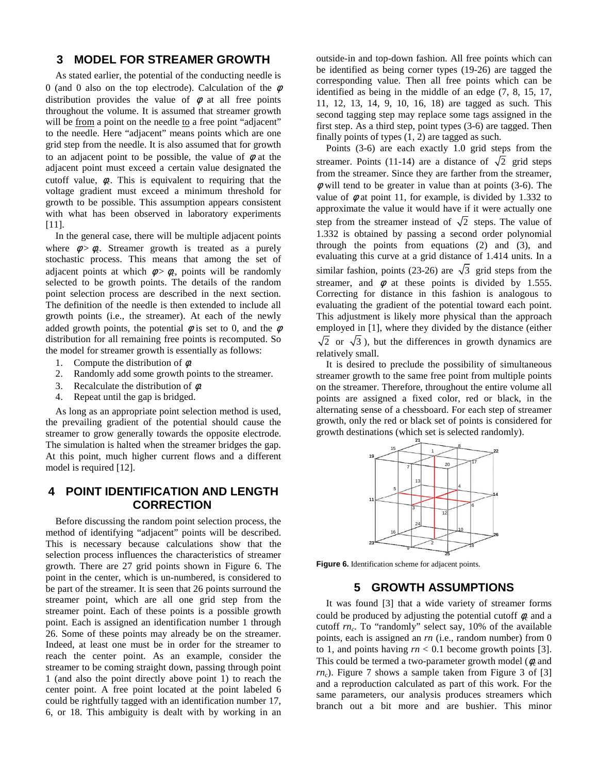## **3 MODEL FOR STREAMER GROWTH**

As stated earlier, the potential of the conducting needle is 0 (and 0 also on the top electrode). Calculation of the  $\phi$ distribution provides the value of  $\phi$  at all free points throughout the volume. It is assumed that streamer growth will be from a point on the needle to a free point "adjacent" to the needle. Here "adjacent" means points which are one grid step from the needle. It is also assumed that for growth to an adjacent point to be possible, the value of  $\phi$  at the adjacent point must exceed a certain value designated the cutoff value,  $\phi_c$ . This is equivalent to requiring that the voltage gradient must exceed a minimum threshold for growth to be possible. This assumption appears consistent with what has been observed in laboratory experiments [11].

In the general case, there will be multiple adjacent points where  $\phi > \phi_c$ . Streamer growth is treated as a purely stochastic process. This means that among the set of adjacent points at which  $\phi > \phi_c$ , points will be randomly selected to be growth points. The details of the random point selection process are described in the next section. The definition of the needle is then extended to include all growth points (i.e., the streamer). At each of the newly added growth points, the potential  $\phi$  is set to 0, and the  $\phi$ distribution for all remaining free points is recomputed. So the model for streamer growth is essentially as follows:

- 1. Compute the distribution of  $\phi$ .
- 2. Randomly add some growth points to the streamer.
- 3. Recalculate the distribution of  $\phi$ .
- 4. Repeat until the gap is bridged.

As long as an appropriate point selection method is used, the prevailing gradient of the potential should cause the streamer to grow generally towards the opposite electrode. The simulation is halted when the streamer bridges the gap. At this point, much higher current flows and a different model is required [12].

# **4 POINT IDENTIFICATION AND LENGTH CORRECTION**

Before discussing the random point selection process, the method of identifying "adjacent" points will be described. This is necessary because calculations show that the selection process influences the characteristics of streamer growth. There are 27 grid points shown in Figure 6. The point in the center, which is un-numbered, is considered to be part of the streamer. It is seen that 26 points surround the streamer point, which are all one grid step from the streamer point. Each of these points is a possible growth point. Each is assigned an identification number 1 through 26. Some of these points may already be on the streamer. Indeed, at least one must be in order for the streamer to reach the center point. As an example, consider the streamer to be coming straight down, passing through point 1 (and also the point directly above point 1) to reach the center point. A free point located at the point labeled 6 could be rightfully tagged with an identification number 17, 6, or 18. This ambiguity is dealt with by working in an

outside-in and top-down fashion. All free points which can be identified as being corner types (19-26) are tagged the corresponding value. Then all free points which can be identified as being in the middle of an edge (7, 8, 15, 17, 11, 12, 13, 14, 9, 10, 16, 18) are tagged as such. This second tagging step may replace some tags assigned in the first step. As a third step, point types (3-6) are tagged. Then finally points of types (1, 2) are tagged as such.

Points (3-6) are each exactly 1.0 grid steps from the streamer. Points (11-14) are a distance of  $\sqrt{2}$  grid steps from the streamer. Since they are farther from the streamer,  $\phi$  will tend to be greater in value than at points (3-6). The value of  $\phi$  at point 11, for example, is divided by 1.332 to approximate the value it would have if it were actually one step from the streamer instead of  $\sqrt{2}$  steps. The value of 1.332 is obtained by passing a second order polynomial through the points from equations (2) and (3), and evaluating this curve at a grid distance of 1.414 units. In a similar fashion, points (23-26) are  $\sqrt{3}$  grid steps from the streamer, and  $\phi$  at these points is divided by 1.555. Correcting for distance in this fashion is analogous to evaluating the gradient of the potential toward each point. This adjustment is likely more physical than the approach employed in [1], where they divided by the distance (either  $\sqrt{2}$  or  $\sqrt{3}$ ), but the differences in growth dynamics are relatively small.

It is desired to preclude the possibility of simultaneous streamer growth to the same free point from multiple points on the streamer. Therefore, throughout the entire volume all points are assigned a fixed color, red or black, in the alternating sense of a chessboard. For each step of streamer growth, only the red or black set of points is considered for growth destinations (which set is selected randomly).



**Figure 6.** Identification scheme for adjacent points.

## **5 GROWTH ASSUMPTIONS**

It was found [3] that a wide variety of streamer forms could be produced by adjusting the potential cutoff  $\phi_c$  and a cutoff *rn<sup>c</sup>* . To "randomly" select say, 10% of the available points, each is assigned an *rn* (i.e., random number) from 0 to 1, and points having  $rn < 0.1$  become growth points [3]. This could be termed a two-parameter growth model (φ*<sup>c</sup>* and  $rn_c$ ). Figure 7 shows a sample taken from Figure 3 of [3] and a reproduction calculated as part of this work. For the same parameters, our analysis produces streamers which branch out a bit more and are bushier. This minor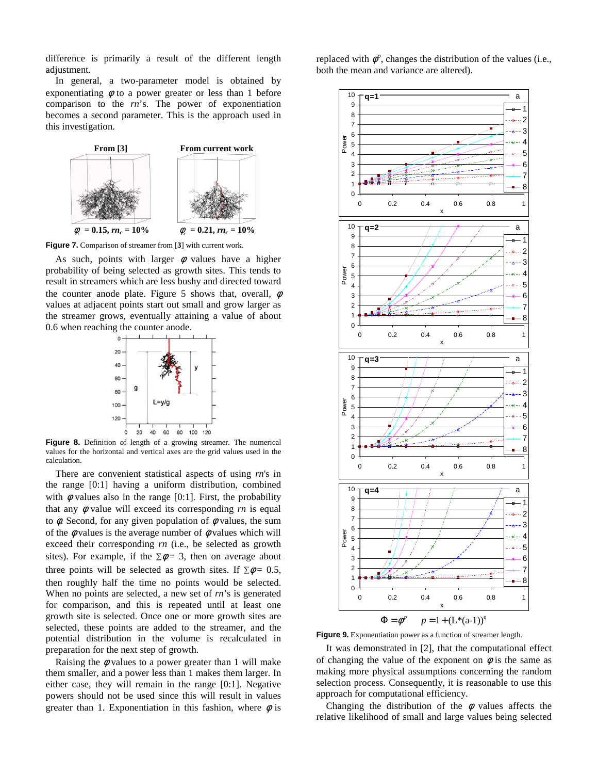difference is primarily a result of the different length adjustment.

In general, a two-parameter model is obtained by exponentiating  $\phi$  to a power greater or less than 1 before comparison to the *rn*'s. The power of exponentiation becomes a second parameter. This is the approach used in this investigation.



**Figure 7.** Comparison of streamer from [**3**] with current work.

As such, points with larger  $\phi$  values have a higher probability of being selected as growth sites. This tends to result in streamers which are less bushy and directed toward the counter anode plate. Figure 5 shows that, overall,  $\phi$ values at adjacent points start out small and grow larger as the streamer grows, eventually attaining a value of about 0.6 when reaching the counter anode.



**Figure 8.** Definition of length of a growing streamer. The numerical values for the horizontal and vertical axes are the grid values used in the calculation.

There are convenient statistical aspects of using *rn*'s in the range [0:1] having a uniform distribution, combined with  $\phi$  values also in the range [0:1]. First, the probability that any  $\phi$  value will exceed its corresponding  $rn$  is equal to  $\phi$ . Second, for any given population of  $\phi$  values, the sum of the  $\phi$  values is the average number of  $\phi$  values which will exceed their corresponding *rn* (i.e., be selected as growth sites). For example, if the  $\Sigma \phi = 3$ , then on average about three points will be selected as growth sites. If  $\Sigma \phi = 0.5$ , then roughly half the time no points would be selected. When no points are selected, a new set of *rn*'s is generated for comparison, and this is repeated until at least one growth site is selected. Once one or more growth sites are selected, these points are added to the streamer, and the potential distribution in the volume is recalculated in preparation for the next step of growth.

Raising the  $\phi$  values to a power greater than 1 will make them smaller, and a power less than 1 makes them larger. In either case, they will remain in the range [0:1]. Negative powers should not be used since this will result in values greater than 1. Exponentiation in this fashion, where  $\phi$  is

replaced with  $\phi^p$ , changes the distribution of the values (i.e., both the mean and variance are altered).



**Figure 9.** Exponentiation power as a function of streamer length.

It was demonstrated in [2], that the computational effect of changing the value of the exponent on  $\phi$  is the same as making more physical assumptions concerning the random selection process. Consequently, it is reasonable to use this approach for computational efficiency.

Changing the distribution of the  $\phi$  values affects the relative likelihood of small and large values being selected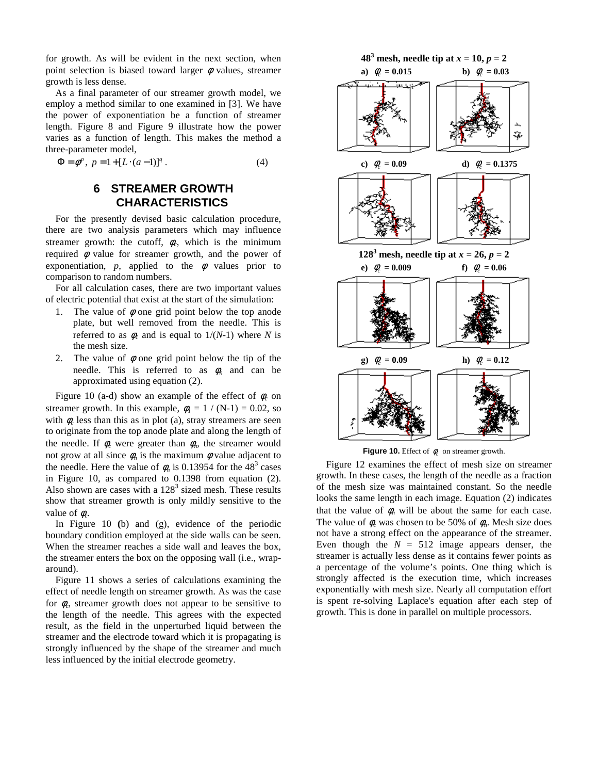for growth. As will be evident in the next section, when point selection is biased toward larger  $\phi$  values, streamer growth is less dense.

As a final parameter of our streamer growth model, we employ a method similar to one examined in [3]. We have the power of exponentiation be a function of streamer length. Figure 8 and Figure 9 illustrate how the power varies as a function of length. This makes the method a three-parameter model,

$$
\Phi = \phi^p, \ p = 1 + [L \cdot (a-1)]^q. \tag{4}
$$

# **6 STREAMER GROWTH CHARACTERISTICS**

For the presently devised basic calculation procedure, there are two analysis parameters which may influence streamer growth: the cutoff,  $\phi_c$ , which is the minimum required  $\phi$  value for streamer growth, and the power of exponentiation,  $p$ , applied to the  $\phi$  values prior to comparison to random numbers.

For all calculation cases, there are two important values of electric potential that exist at the start of the simulation:

- 1. The value of  $\phi$  one grid point below the top anode plate, but well removed from the needle. This is referred to as  $\phi_l$  and is equal to  $1/(N-1)$  where N is the mesh size.
- 2. The value of  $\phi$  one grid point below the tip of the needle. This is referred to as  $\phi_n$  and can be approximated using equation (2).

Figure 10 (a-d) show an example of the effect of  $\phi_c$  on streamer growth. In this example,  $\phi_l = 1 / (N-1) = 0.02$ , so with  $\phi_c$  less than this as in plot (a), stray streamers are seen to originate from the top anode plate and along the length of the needle. If  $\phi_c$  were greater than  $\phi_n$ , the streamer would not grow at all since  $\phi_n$  is the maximum  $\phi$  value adjacent to the needle. Here the value of  $\phi_n$  is 0.13954 for the 48<sup>3</sup> cases in Figure 10, as compared to 0.1398 from equation (2). Also shown are cases with a  $128<sup>3</sup>$  sized mesh. These results show that streamer growth is only mildly sensitive to the value of  $\phi_c$ .

In Figure 10 **(**b) and (g), evidence of the periodic boundary condition employed at the side walls can be seen. When the streamer reaches a side wall and leaves the box, the streamer enters the box on the opposing wall (i.e., wraparound).

Figure 11 shows a series of calculations examining the effect of needle length on streamer growth. As was the case for φ*<sup>c</sup>* , streamer growth does not appear to be sensitive to the length of the needle. This agrees with the expected result, as the field in the unperturbed liquid between the streamer and the electrode toward which it is propagating is strongly influenced by the shape of the streamer and much less influenced by the initial electrode geometry.



**Figure 10.** Effect of  $\phi_c$  on streamer growth.

Figure 12 examines the effect of mesh size on streamer growth. In these cases, the length of the needle as a fraction of the mesh size was maintained constant. So the needle looks the same length in each image. Equation (2) indicates that the value of  $\phi_n$  will be about the same for each case. The value of  $\phi_c$  was chosen to be 50% of  $\phi_n$ . Mesh size does not have a strong effect on the appearance of the streamer. Even though the  $N = 512$  image appears denser, the streamer is actually less dense as it contains fewer points as a percentage of the volume's points. One thing which is strongly affected is the execution time, which increases exponentially with mesh size. Nearly all computation effort is spent re-solving Laplace's equation after each step of growth. This is done in parallel on multiple processors.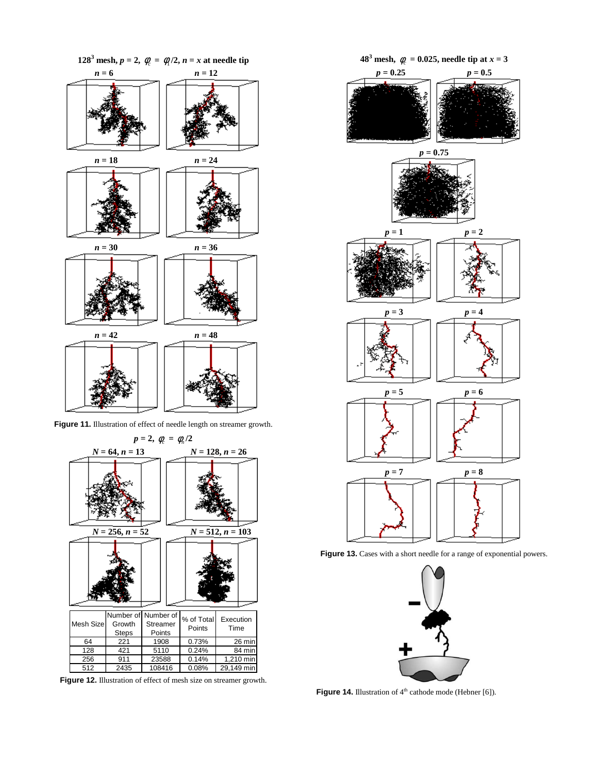

Figure 11. Illustration of effect of needle length on streamer growth.



**Figure 12.** Illustration of effect of mesh size on streamer growth.



Figure 13. Cases with a short needle for a range of exponential powers.



**Figure 14.** Illustration of 4<sup>th</sup> cathode mode (Hebner [6]).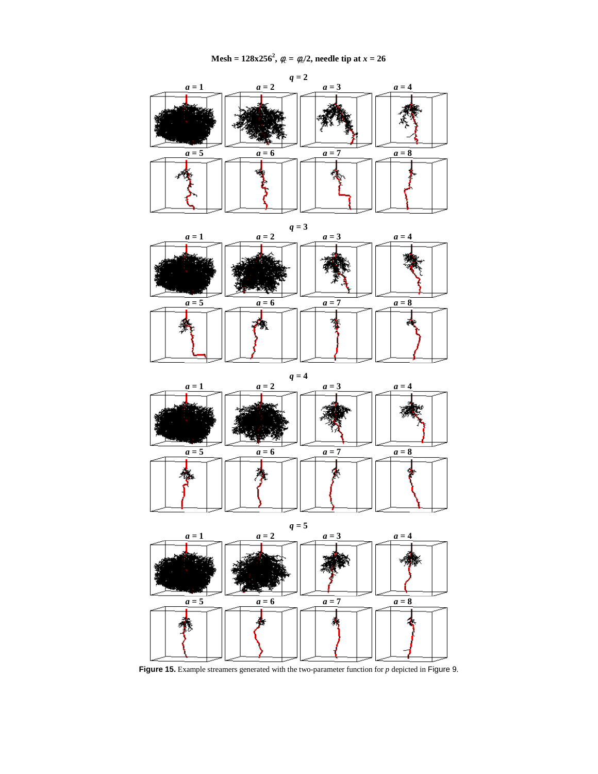

**Figure 15.** Example streamers generated with the two-parameter function for *p* depicted in Figure 9.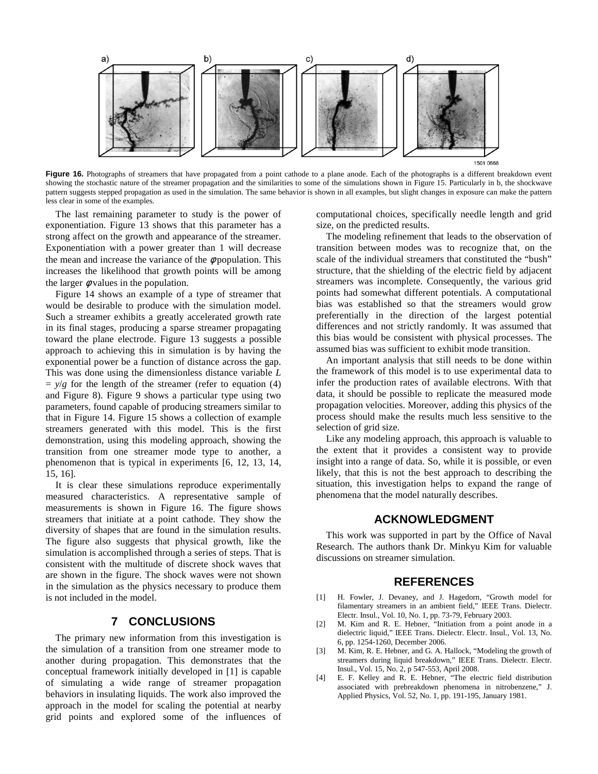

Figure 16. Photographs of streamers that have propagated from a point cathode to a plane anode. Each of the photographs is a different breakdown event showing the stochastic nature of the streamer propagation and the similarities to some of the simulations shown in Figure 15. Particularly in b, the shockwave pattern suggests stepped propagation as used in the simulation. The same behavior is shown in all examples, but slight changes in exposure can make the pattern less clear in some of the examples.

The last remaining parameter to study is the power of exponentiation. Figure 13 shows that this parameter has a strong affect on the growth and appearance of the streamer. Exponentiation with a power greater than 1 will decrease the mean and increase the variance of the  $\phi$  population. This increases the likelihood that growth points will be among the larger  $\phi$  values in the population.

Figure 14 shows an example of a type of streamer that would be desirable to produce with the simulation model. Such a streamer exhibits a greatly accelerated growth rate in its final stages, producing a sparse streamer propagating toward the plane electrode. Figure 13 suggests a possible approach to achieving this in simulation is by having the exponential power be a function of distance across the gap. This was done using the dimensionless distance variable *L*  $=$   $y/g$  for the length of the streamer (refer to equation (4) and Figure 8). Figure 9 shows a particular type using two parameters, found capable of producing streamers similar to that in Figure 14. Figure 15 shows a collection of example streamers generated with this model. This is the first demonstration, using this modeling approach, showing the transition from one streamer mode type to another, a phenomenon that is typical in experiments [6, 12, 13, 14, 15, 16].

It is clear these simulations reproduce experimentally measured characteristics. A representative sample of measurements is shown in Figure 16. The figure shows streamers that initiate at a point cathode. They show the diversity of shapes that are found in the simulation results. The figure also suggests that physical growth, like the simulation is accomplished through a series of steps. That is consistent with the multitude of discrete shock waves that are shown in the figure. The shock waves were not shown in the simulation as the physics necessary to produce them is not included in the model.

### **7 CONCLUSIONS**

The primary new information from this investigation is the simulation of a transition from one streamer mode to another during propagation. This demonstrates that the conceptual framework initially developed in [1] is capable of simulating a wide range of streamer propagation behaviors in insulating liquids. The work also improved the approach in the model for scaling the potential at nearby grid points and explored some of the influences of

computational choices, specifically needle length and grid size, on the predicted results.

The modeling refinement that leads to the observation of transition between modes was to recognize that, on the scale of the individual streamers that constituted the "bush" structure, that the shielding of the electric field by adjacent streamers was incomplete. Consequently, the various grid points had somewhat different potentials. A computational bias was established so that the streamers would grow preferentially in the direction of the largest potential differences and not strictly randomly. It was assumed that this bias would be consistent with physical processes. The assumed bias was sufficient to exhibit mode transition.

An important analysis that still needs to be done within the framework of this model is to use experimental data to infer the production rates of available electrons. With that data, it should be possible to replicate the measured mode propagation velocities. Moreover, adding this physics of the process should make the results much less sensitive to the selection of grid size.

Like any modeling approach, this approach is valuable to the extent that it provides a consistent way to provide insight into a range of data. So, while it is possible, or even likely, that this is not the best approach to describing the situation, this investigation helps to expand the range of phenomena that the model naturally describes.

#### **ACKNOWLEDGMENT**

This work was supported in part by the Office of Naval Research. The authors thank Dr. Minkyu Kim for valuable discussions on streamer simulation.

## **REFERENCES**

- [1] H. Fowler, J. Devaney, and J. Hagedorn, "Growth model for filamentary streamers in an ambient field," IEEE Trans. Dielectr. Electr. Insul., Vol. 10, No. 1, pp. 73-79, February 2003.
- [2] M. Kim and R. E. Hebner, "Initiation from a point anode in a dielectric liquid," IEEE Trans. Dielectr. Electr. Insul., Vol. 13, No. 6, pp. 1254-1260, December 2006.
- [3] M. Kim, R. E. Hebner, and G. A. Hallock, "Modeling the growth of streamers during liquid breakdown," IEEE Trans. Dielectr. Electr. Insul., Vol. 15, No. 2, p 547-553, April 2008.
- [4] E. F. Kelley and R. E. Hebner, "The electric field distribution associated with prebreakdown phenomena in nitrobenzene," J. Applied Physics, Vol. 52, No. 1, pp. 191-195, January 1981.